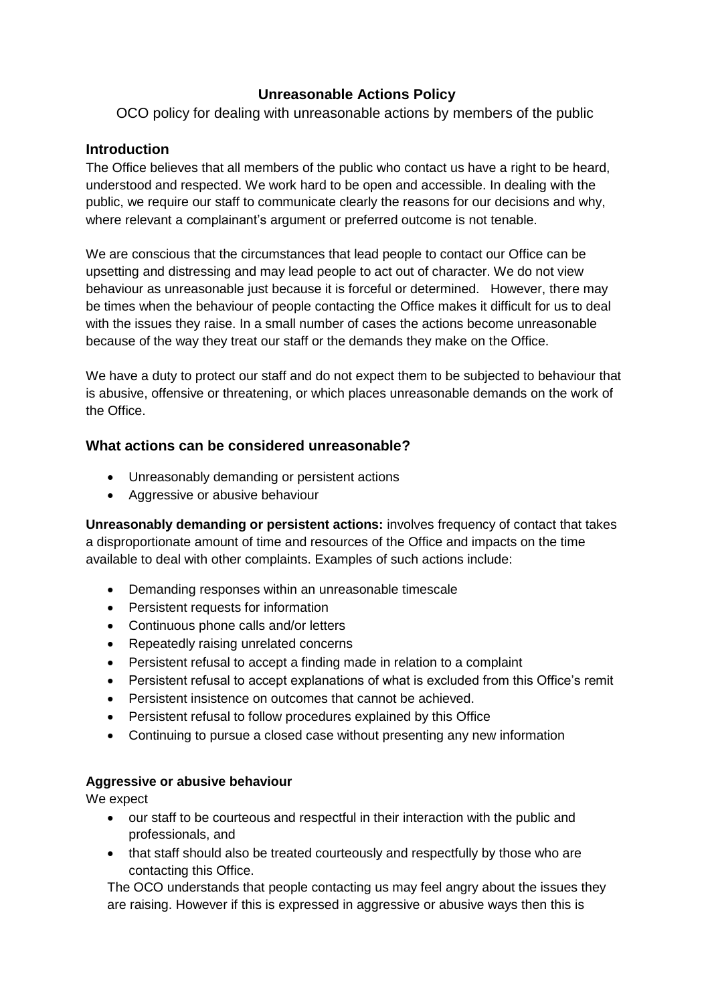# **Unreasonable Actions Policy**

OCO policy for dealing with unreasonable actions by members of the public

## **Introduction**

The Office believes that all members of the public who contact us have a right to be heard, understood and respected. We work hard to be open and accessible. In dealing with the public, we require our staff to communicate clearly the reasons for our decisions and why, where relevant a complainant's argument or preferred outcome is not tenable.

We are conscious that the circumstances that lead people to contact our Office can be upsetting and distressing and may lead people to act out of character. We do not view behaviour as unreasonable just because it is forceful or determined. However, there may be times when the behaviour of people contacting the Office makes it difficult for us to deal with the issues they raise. In a small number of cases the actions become unreasonable because of the way they treat our staff or the demands they make on the Office.

We have a duty to protect our staff and do not expect them to be subjected to behaviour that is abusive, offensive or threatening, or which places unreasonable demands on the work of the Office.

# **What actions can be considered unreasonable?**

- Unreasonably demanding or persistent actions
- Aggressive or abusive behaviour

**Unreasonably demanding or persistent actions:** involves frequency of contact that takes a disproportionate amount of time and resources of the Office and impacts on the time available to deal with other complaints. Examples of such actions include:

- Demanding responses within an unreasonable timescale
- Persistent requests for information
- Continuous phone calls and/or letters
- Repeatedly raising unrelated concerns
- Persistent refusal to accept a finding made in relation to a complaint
- Persistent refusal to accept explanations of what is excluded from this Office's remit
- Persistent insistence on outcomes that cannot be achieved.
- Persistent refusal to follow procedures explained by this Office
- Continuing to pursue a closed case without presenting any new information

## **Aggressive or abusive behaviour**

We expect

- our staff to be courteous and respectful in their interaction with the public and professionals, and
- that staff should also be treated courteously and respectfully by those who are contacting this Office.

The OCO understands that people contacting us may feel angry about the issues they are raising. However if this is expressed in aggressive or abusive ways then this is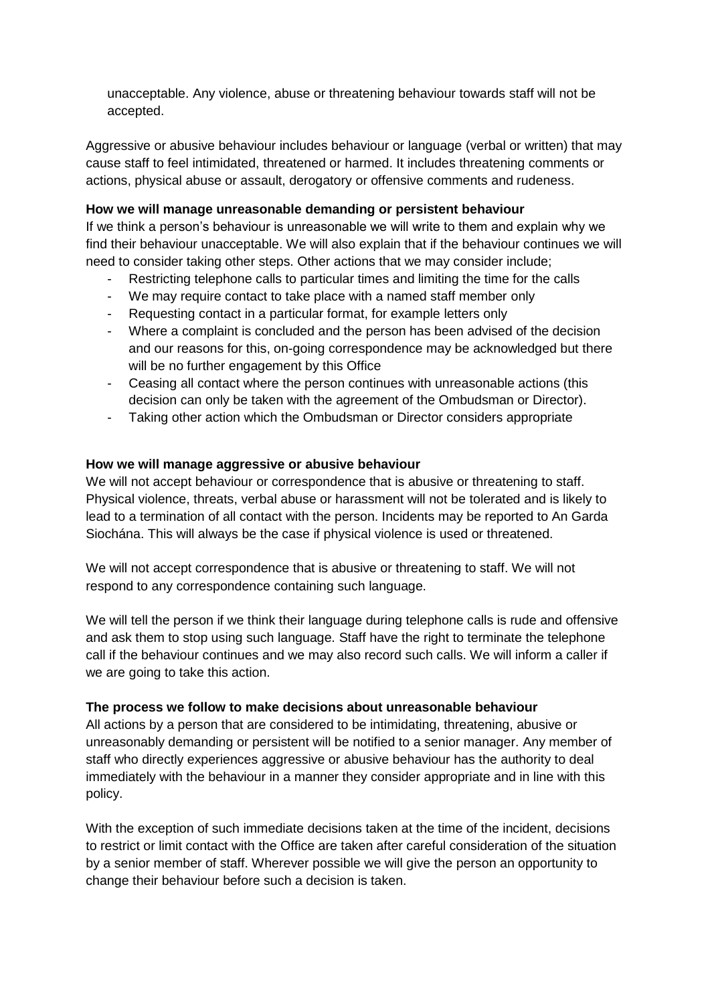unacceptable. Any violence, abuse or threatening behaviour towards staff will not be accepted.

Aggressive or abusive behaviour includes behaviour or language (verbal or written) that may cause staff to feel intimidated, threatened or harmed. It includes threatening comments or actions, physical abuse or assault, derogatory or offensive comments and rudeness.

## **How we will manage unreasonable demanding or persistent behaviour**

If we think a person's behaviour is unreasonable we will write to them and explain why we find their behaviour unacceptable. We will also explain that if the behaviour continues we will need to consider taking other steps. Other actions that we may consider include;

- Restricting telephone calls to particular times and limiting the time for the calls
- We may require contact to take place with a named staff member only
- Requesting contact in a particular format, for example letters only
- Where a complaint is concluded and the person has been advised of the decision and our reasons for this, on-going correspondence may be acknowledged but there will be no further engagement by this Office
- Ceasing all contact where the person continues with unreasonable actions (this decision can only be taken with the agreement of the Ombudsman or Director).
- Taking other action which the Ombudsman or Director considers appropriate

# **How we will manage aggressive or abusive behaviour**

We will not accept behaviour or correspondence that is abusive or threatening to staff. Physical violence, threats, verbal abuse or harassment will not be tolerated and is likely to lead to a termination of all contact with the person. Incidents may be reported to An Garda Siochána. This will always be the case if physical violence is used or threatened.

We will not accept correspondence that is abusive or threatening to staff. We will not respond to any correspondence containing such language.

We will tell the person if we think their language during telephone calls is rude and offensive and ask them to stop using such language. Staff have the right to terminate the telephone call if the behaviour continues and we may also record such calls. We will inform a caller if we are going to take this action.

## **The process we follow to make decisions about unreasonable behaviour**

All actions by a person that are considered to be intimidating, threatening, abusive or unreasonably demanding or persistent will be notified to a senior manager. Any member of staff who directly experiences aggressive or abusive behaviour has the authority to deal immediately with the behaviour in a manner they consider appropriate and in line with this policy.

With the exception of such immediate decisions taken at the time of the incident, decisions to restrict or limit contact with the Office are taken after careful consideration of the situation by a senior member of staff. Wherever possible we will give the person an opportunity to change their behaviour before such a decision is taken.